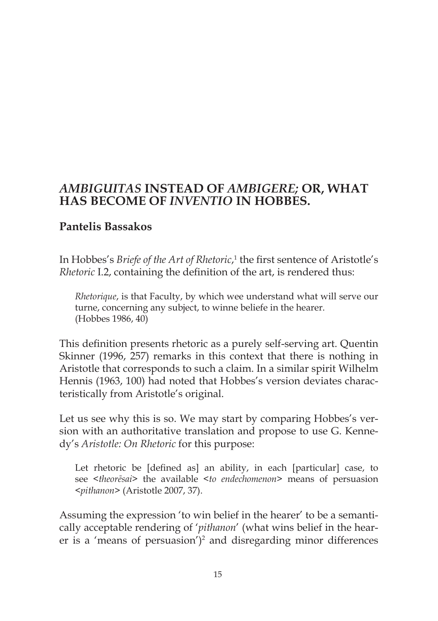# *AMBIGUITAS* **INSTEAD OF** *AMBIGERE;* **OR, WHAT HAS BECOME OF** *INVENTIO* **IN HOBBES.**

## **Pantelis Bassakos**

In Hobbes's *Briefe of the Art of Rhetoric*, 1 the first sentence of Aristotle's *Rhetoric* I.2, containing the definition of the art, is rendered thus:

*Rhetorique*, is that Faculty, by which wee understand what will serve our turne, concerning any subject, to winne beliefe in the hearer. (Hobbes 1986, 40)

This definition presents rhetoric as a purely self-serving art. Quentin Skinner (1996, 257) remarks in this context that there is nothing in Aristotle that corresponds to such a claim. In a similar spirit Wilhelm Hennis (1963, 100) had noted that Hobbes's version deviates characteristically from Aristotle's original.

Let us see why this is so. We may start by comparing Hobbes's version with an authoritative translation and propose to use G. Kennedy's *Aristotle: On Rhetoric* for this purpose:

Let rhetoric be [defined as] an ability, in each [particular] case, to see <*theorēsai*> the available <*to endechomenon*> means of persuasion <*pithanon*> (Aristotle 2007, 37).

Assuming the expression 'to win belief in the hearer' to be a semantically acceptable rendering of '*pithanon*' (what wins belief in the hearer is a 'means of persuasion')<sup>2</sup> and disregarding minor differences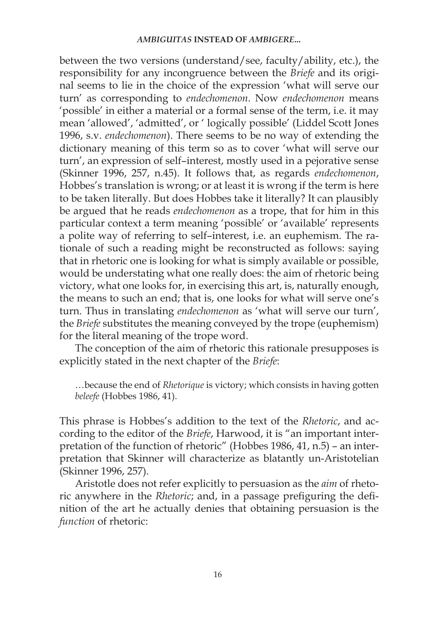between the two versions (understand/see, faculty/ability, etc.), the responsibility for any incongruence between the *Briefe* and its original seems to lie in the choice of the expression 'what will serve our turn' as corresponding to *endechomenon*. Now *endechomenon* means 'possible' in either a material or a formal sense of the term, i.e. it may mean 'allowed', 'admitted', or ' logically possible' (Liddel Scott Jones 1996, s.v. *endechomenon*). There seems to be no way of extending the dictionary meaning of this term so as to cover 'what will serve our turn', an expression of self–interest, mostly used in a pejorative sense (Skinner 1996, 257, n.45). It follows that, as regards *endechomenon*, Hobbes's translation is wrong; or at least it is wrong if the term is here to be taken literally. But does Hobbes take it literally? It can plausibly be argued that he reads *endechomenon* as a trope, that for him in this particular context a term meaning 'possible' or 'available' represents a polite way of referring to self–interest, i.e. an euphemism. The rationale of such a reading might be reconstructed as follows: saying that in rhetoric one is looking for what is simply available or possible, would be understating what one really does: the aim of rhetoric being victory, what one looks for, in exercising this art, is, naturally enough, the means to such an end; that is, one looks for what will serve one's turn. Thus in translating *endechomenon* as 'what will serve our turn', the *Briefe* substitutes the meaning conveyed by the trope (euphemism) for the literal meaning of the trope word.

The conception of the aim of rhetoric this rationale presupposes is explicitly stated in the next chapter of the *Briefe*:

…because the end of *Rhetorique* is victory; which consists in having gotten *beleefe* (Hobbes 1986, 41).

This phrase is Hobbes's addition to the text of the *Rhetoric*, and according to the editor of the *Briefe*, Harwood, it is "an important interpretation of the function of rhetoric" (Hobbes 1986, 41, n.5) – an interpretation that Skinner will characterize as blatantly un-Aristotelian (Skinner 1996, 257).

Aristotle does not refer explicitly to persuasion as the *aim* of rhetoric anywhere in the *Rhetoric*; and, in a passage prefiguring the definition of the art he actually denies that obtaining persuasion is the *function* of rhetoric: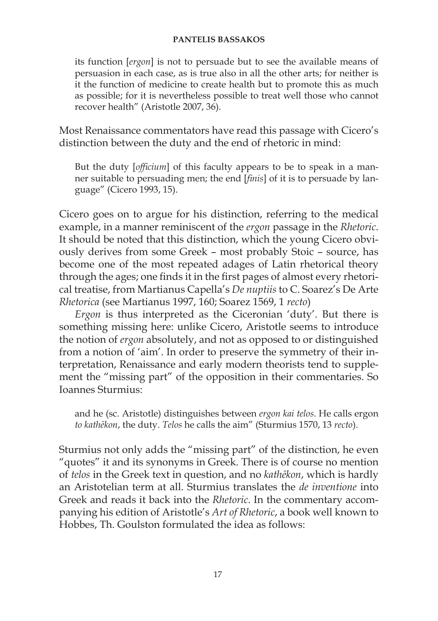its function [*ergon*] is not to persuade but to see the available means of persuasion in each case, as is true also in all the other arts; for neither is it the function of medicine to create health but to promote this as much as possible; for it is nevertheless possible to treat well those who cannot recover health" (Aristotle 2007, 36).

Most Renaissance commentators have read this passage with Cicero's distinction between the duty and the end of rhetoric in mind:

But the duty [*officium*] of this faculty appears to be to speak in a manner suitable to persuading men; the end [*finis*] of it is to persuade by language" (Cicero 1993, 15).

Cicero goes on to argue for his distinction, referring to the medical example, in a manner reminiscent of the *ergon* passage in the *Rhetoric*. It should be noted that this distinction, which the young Cicero obviously derives from some Greek – most probably Stoic – source, has become one of the most repeated adages of Latin rhetorical theory through the ages; one finds it in the first pages of almost every rhetorical treatise, from Martianus Capella's *De nuptiis* to C. Soarez's De Arte *Rhetorica* (see Martianus 1997, 160; Soarez 1569, 1 *recto*)

*Ergon* is thus interpreted as the Ciceronian 'duty'. But there is something missing here: unlike Cicero, Aristotle seems to introduce the notion of *ergon* absolutely, and not as opposed to or distinguished from a notion of 'aim'. In order to preserve the symmetry of their interpretation, Renaissance and early modern theorists tend to supplement the "missing part" of the opposition in their commentaries. So Ioannes Sturmius:

and he (sc. Aristotle) distinguishes between *ergon kai telos*. He calls ergon *to kathēkon*, the duty. *Telos* he calls the aim" (Sturmius 1570, 13 *recto*).

Sturmius not only adds the "missing part" of the distinction, he even "quotes" it and its synonyms in Greek. There is of course no mention of *telos* in the Greek text in question, and no *kathēkon*, which is hardly an Aristotelian term at all. Sturmius translates the *de inventione* into Greek and reads it back into the *Rhetoric*. In the commentary accompanying his edition of Aristotle's *Art of Rhetoric*, a book well known to Hobbes, Th. Goulston formulated the idea as follows: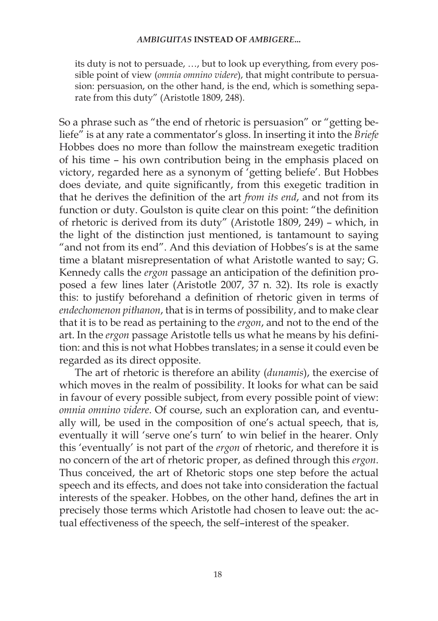its duty is not to persuade, …, but to look up everything, from every possible point of view (*omnia omnino videre*), that might contribute to persuasion: persuasion, on the other hand, is the end, which is something separate from this duty" (Aristotle 1809, 248).

So a phrase such as "the end of rhetoric is persuasion" or "getting beliefe" is at any rate a commentator's gloss. In inserting it into the *Briefe* Hobbes does no more than follow the mainstream exegetic tradition of his time – his own contribution being in the emphasis placed on victory, regarded here as a synonym of 'getting beliefe'. But Hobbes does deviate, and quite significantly, from this exegetic tradition in that he derives the definition of the art *from its end*, and not from its function or duty. Goulston is quite clear on this point: "the definition of rhetoric is derived from its duty" (Aristotle 1809, 249) – which, in the light of the distinction just mentioned, is tantamount to saying "and not from its end". And this deviation of Hobbes's is at the same time a blatant misrepresentation of what Aristotle wanted to say; G. Kennedy calls the *ergon* passage an anticipation of the definition proposed a few lines later (Aristotle 2007, 37 n. 32). Its role is exactly this: to justify beforehand a definition of rhetoric given in terms of *endechomenon pithanon*, that is in terms of possibility, and to make clear that it is to be read as pertaining to the *ergon*, and not to the end of the art. In the *ergon* passage Aristotle tells us what he means by his definition: and this is not what Hobbes translates; in a sense it could even be regarded as its direct opposite.

The art of rhetoric is therefore an ability (*dunamis*), the exercise of which moves in the realm of possibility. It looks for what can be said in favour of every possible subject, from every possible point of view: *omnia omnino videre*. Of course, such an exploration can, and eventually will, be used in the composition of one's actual speech, that is, eventually it will 'serve one's turn' to win belief in the hearer. Only this 'eventually' is not part of the *ergon* of rhetoric, and therefore it is no concern of the art of rhetoric proper, as defined through this *ergon*. Thus conceived, the art of Rhetoric stops one step before the actual speech and its effects, and does not take into consideration the factual interests of the speaker. Hobbes, on the other hand, defines the art in precisely those terms which Aristotle had chosen to leave out: the actual effectiveness of the speech, the self–interest of the speaker.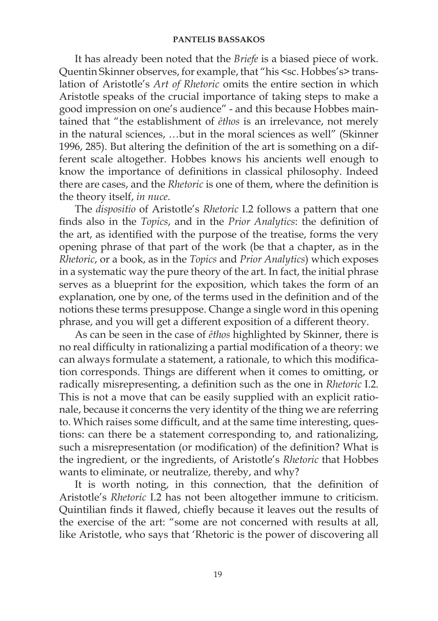It has already been noted that the *Briefe* is a biased piece of work. Quentin Skinner observes, for example, that "his <sc. Hobbes's> translation of Aristotle's *Art of Rhetoric* omits the entire section in which Aristotle speaks of the crucial importance of taking steps to make a good impression on one's audience" - and this because Hobbes maintained that "the establishment of *ēthos* is an irrelevance, not merely in the natural sciences, …but in the moral sciences as well" (Skinner 1996, 285). But altering the definition of the art is something on a different scale altogether. Hobbes knows his ancients well enough to know the importance of definitions in classical philosophy. Indeed there are cases, and the *Rhetoric* is one of them, where the definition is the theory itself, *in nuce*.

The *dispositio* of Aristotle's *Rhetoric* I.2 follows a pattern that one finds also in the *Topics*, and in the *Prior Analytics*: the definition of the art, as identified with the purpose of the treatise, forms the very opening phrase of that part of the work (be that a chapter, as in the *Rhetoric*, or a book, as in the *Topics* and *Prior Analytics*) which exposes in a systematic way the pure theory of the art. In fact, the initial phrase serves as a blueprint for the exposition, which takes the form of an explanation, one by one, of the terms used in the definition and of the notions these terms presuppose. Change a single word in this opening phrase, and you will get a different exposition of a different theory.

As can be seen in the case of *ēthos* highlighted by Skinner, there is no real difficulty in rationalizing a partial modification of a theory: we can always formulate a statement, a rationale, to which this modification corresponds. Things are different when it comes to omitting, or radically misrepresenting, a definition such as the one in *Rhetoric* I.2. This is not a move that can be easily supplied with an explicit rationale, because it concerns the very identity of the thing we are referring to. Which raises some difficult, and at the same time interesting, questions: can there be a statement corresponding to, and rationalizing, such a misrepresentation (or modification) of the definition? What is the ingredient, or the ingredients, of Aristotle's *Rhetoric* that Hobbes wants to eliminate, or neutralize, thereby, and why?

It is worth noting, in this connection, that the definition of Aristotle's *Rhetoric* I.2 has not been altogether immune to criticism. Quintilian finds it flawed, chiefly because it leaves out the results of the exercise of the art: "some are not concerned with results at all, like Aristotle, who says that 'Rhetoric is the power of discovering all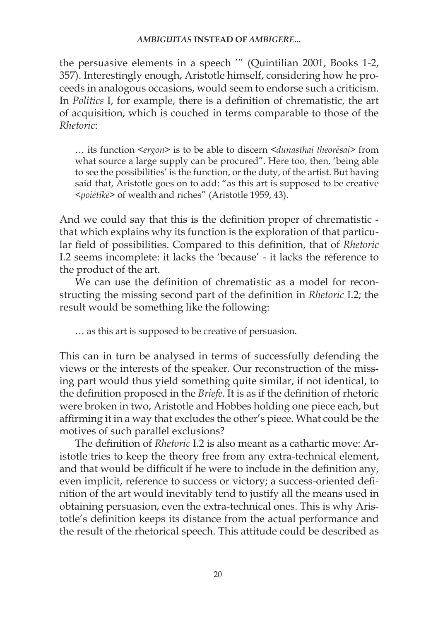the persuasive elements in a speech '" (Quintilian 2001, Books 1-2, 357). Interestingly enough, Aristotle himself, considering how he proceeds in analogous occasions, would seem to endorse such a criticism. In *Politics* I, for example, there is a definition of chrematistic, the art of acquisition, which is couched in terms comparable to those of the *Rhetoric*:

… its function <*ergon*> is to be able to discern <*dunasthai theorēsai*> from what source a large supply can be procured". Here too, then, 'being able to see the possibilities' is the function, or the duty, of the artist. But having said that, Aristotle goes on to add: "as this art is supposed to be creative <*poiētikē*> of wealth and riches" (Aristotle 1959, 43).

And we could say that this is the definition proper of chrematistic that which explains why its function is the exploration of that particular field of possibilities. Compared to this definition, that of *Rhetoric* I.2 seems incomplete: it lacks the 'because' - it lacks the reference to the product of the art.

We can use the definition of chrematistic as a model for reconstructing the missing second part of the definition in *Rhetoric* I.2; the result would be something like the following:

… as this art is supposed to be creative of persuasion.

This can in turn be analysed in terms of successfully defending the views or the interests of the speaker. Our reconstruction of the missing part would thus yield something quite similar, if not identical, to the definition proposed in the *Briefe*. It is as if the definition of rhetoric were broken in two, Aristotle and Hobbes holding one piece each, but affirming it in a way that excludes the other's piece. What could be the motives of such parallel exclusions?

The definition of *Rhetoric* I.2 is also meant as a cathartic move: Aristotle tries to keep the theory free from any extra-technical element, and that would be difficult if he were to include in the definition any, even implicit, reference to success or victory; a success-oriented definition of the art would inevitably tend to justify all the means used in obtaining persuasion, even the extra-technical ones. This is why Aristotle's definition keeps its distance from the actual performance and the result of the rhetorical speech. This attitude could be described as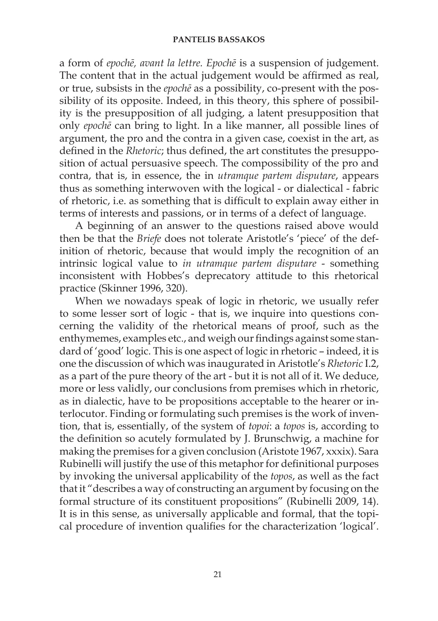a form of *epochē, avant la lettre. Epochē* is a suspension of judgement. The content that in the actual judgement would be affirmed as real, or true, subsists in the *epochē* as a possibility, co-present with the possibility of its opposite. Indeed, in this theory, this sphere of possibility is the presupposition of all judging, a latent presupposition that only *epochē* can bring to light. In a like manner, all possible lines of argument, the pro and the contra in a given case, coexist in the art, as defined in the *Rhetoric*; thus defined, the art constitutes the presupposition of actual persuasive speech. The compossibility of the pro and contra, that is, in essence, the in *utramque partem disputare*, appears thus as something interwoven with the logical - or dialectical - fabric of rhetoric, i.e. as something that is difficult to explain away either in terms of interests and passions, or in terms of a defect of language.

A beginning of an answer to the questions raised above would then be that the *Briefe* does not tolerate Aristotle's 'piece' of the definition of rhetoric, because that would imply the recognition of an intrinsic logical value to *in utramque partem disputare* - something inconsistent with Hobbes's deprecatory attitude to this rhetorical practice (Skinner 1996, 320).

When we nowadays speak of logic in rhetoric, we usually refer to some lesser sort of logic - that is, we inquire into questions concerning the validity of the rhetorical means of proof, such as the enthymemes, examples etc., and weigh our findings against some standard of 'good' logic. This is one aspect of logic in rhetoric – indeed, it is one the discussion of which was inaugurated in Aristotle's *Rhetoric* I.2, as a part of the pure theory of the art - but it is not all of it. We deduce, more or less validly, our conclusions from premises which in rhetoric, as in dialectic, have to be propositions acceptable to the hearer or interlocutor. Finding or formulating such premises is the work of invention, that is, essentially, of the system of *topoi*: a *topos* is, according to the definition so acutely formulated by J. Brunschwig, a machine for making the premises for a given conclusion (Aristote 1967, xxxix). Sara Rubinelli will justify the use of this metaphor for definitional purposes by invoking the universal applicability of the *topos*, as well as the fact that it "describes a way of constructing an argument by focusing on the formal structure of its constituent propositions" (Rubinelli 2009, 14). It is in this sense, as universally applicable and formal, that the topical procedure of invention qualifies for the characterization 'logical'.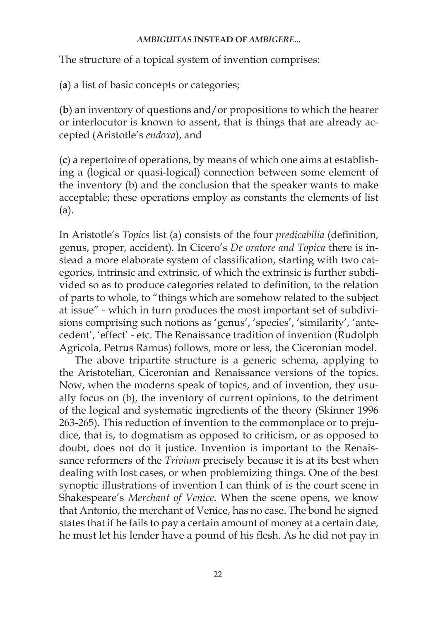The structure of a topical system of invention comprises:

(**a**) a list of basic concepts or categories;

(**b**) an inventory of questions and/or propositions to which the hearer or interlocutor is known to assent, that is things that are already accepted (Aristotle's *endoxa*), and

(**c**) a repertoire of operations, by means of which one aims at establishing a (logical or quasi-logical) connection between some element of the inventory (b) and the conclusion that the speaker wants to make acceptable; these operations employ as constants the elements of list (a).

In Aristotle's *Topics* list (a) consists of the four *predicabilia* (definition, genus, proper, accident). In Cicero's *De oratore and Topica* there is instead a more elaborate system of classification, starting with two categories, intrinsic and extrinsic, of which the extrinsic is further subdivided so as to produce categories related to definition, to the relation of parts to whole, to "things which are somehow related to the subject at issue" - which in turn produces the most important set of subdivisions comprising such notions as 'genus', 'species', 'similarity', 'antecedent', 'effect' - etc. The Renaissance tradition of invention (Rudolph Agricola, Petrus Ramus) follows, more or less, the Ciceronian model.

The above tripartite structure is a generic schema, applying to the Aristotelian, Ciceronian and Renaissance versions of the topics. Now, when the moderns speak of topics, and of invention, they usually focus on (b), the inventory of current opinions, to the detriment of the logical and systematic ingredients of the theory (Skinner 1996 263-265). This reduction of invention to the commonplace or to prejudice, that is, to dogmatism as opposed to criticism, or as opposed to doubt, does not do it justice. Invention is important to the Renaissance reformers of the *Trivium* precisely because it is at its best when dealing with lost cases, or when problemizing things. One of the best synoptic illustrations of invention I can think of is the court scene in Shakespeare's *Merchant of Venice*. When the scene opens, we know that Antonio, the merchant of Venice, has no case. The bond he signed states that if he fails to pay a certain amount of money at a certain date, he must let his lender have a pound of his flesh. As he did not pay in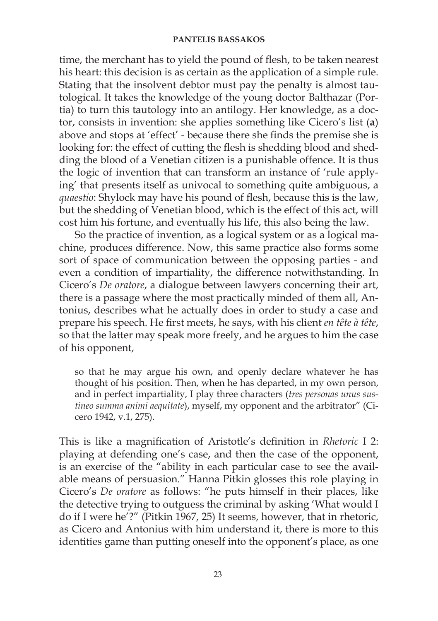time, the merchant has to yield the pound of flesh, to be taken nearest his heart: this decision is as certain as the application of a simple rule. Stating that the insolvent debtor must pay the penalty is almost tautological. It takes the knowledge of the young doctor Balthazar (Portia) to turn this tautology into an antilogy. Her knowledge, as a doctor, consists in invention: she applies something like Cicero's list (**a**) above and stops at 'effect' - because there she finds the premise she is looking for: the effect of cutting the flesh is shedding blood and shedding the blood of a Venetian citizen is a punishable offence. It is thus the logic of invention that can transform an instance of 'rule applying' that presents itself as univocal to something quite ambiguous, a *quaestio*: Shylock may have his pound of flesh, because this is the law, but the shedding of Venetian blood, which is the effect of this act, will cost him his fortune, and eventually his life, this also being the law.

So the practice of invention, as a logical system or as a logical machine, produces difference. Now, this same practice also forms some sort of space of communication between the opposing parties - and even a condition of impartiality, the difference notwithstanding. In Cicero's *De oratore*, a dialogue between lawyers concerning their art, there is a passage where the most practically minded of them all, Antonius, describes what he actually does in order to study a case and prepare his speech. He first meets, he says, with his client *en tête à tête*, so that the latter may speak more freely, and he argues to him the case of his opponent,

so that he may argue his own, and openly declare whatever he has thought of his position. Then, when he has departed, in my own person, and in perfect impartiality, I play three characters (*tres personas unus sustineo summa animi aequitate*), myself, my opponent and the arbitrator" (Cicero 1942, v.1, 275).

This is like a magnification of Aristotle's definition in *Rhetoric* Ι 2: playing at defending one's case, and then the case of the opponent, is an exercise of the "ability in each particular case to see the available means of persuasion." Hanna Pitkin glosses this role playing in Cicero's *De oratore* as follows: "he puts himself in their places, like the detective trying to outguess the criminal by asking 'What would I do if I were he'?" (Pitkin 1967, 25) It seems, however, that in rhetoric, as Cicero and Antonius with him understand it, there is more to this identities game than putting oneself into the opponent's place, as one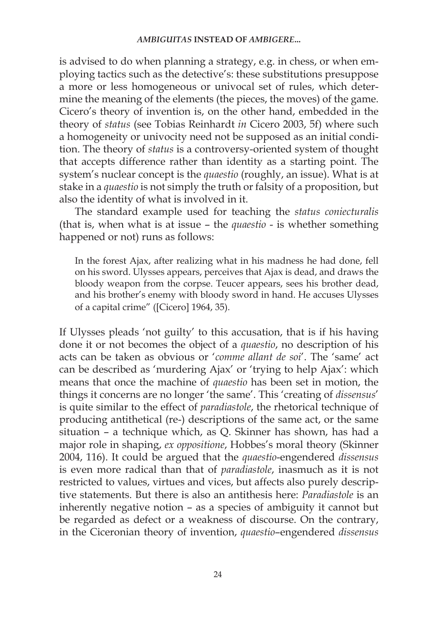is advised to do when planning a strategy, e.g. in chess, or when employing tactics such as the detective's: these substitutions presuppose a more or less homogeneous or univocal set of rules, which determine the meaning of the elements (the pieces, the moves) of the game. Cicero's theory of invention is, on the other hand, embedded in the theory of *status* (see Tobias Reinhardt *in* Cicero 2003, 5f) where such a homogeneity or univocity need not be supposed as an initial condition. The theory of *status* is a controversy-oriented system of thought that accepts difference rather than identity as a starting point. The system's nuclear concept is the *quaestio* (roughly, an issue). What is at stake in a *quaestio* is not simply the truth or falsity of a proposition, but also the identity of what is involved in it.

The standard example used for teaching the *status coniecturalis*  (that is, when what is at issue – the *quaestio* - is whether something happened or not) runs as follows:

In the forest Ajax, after realizing what in his madness he had done, fell on his sword. Ulysses appears, perceives that Ajax is dead, and draws the bloody weapon from the corpse. Teucer appears, sees his brother dead, and his brother's enemy with bloody sword in hand. He accuses Ulysses of a capital crime" ([Cicero] 1964, 35).

If Ulysses pleads 'not guilty' to this accusation, that is if his having done it or not becomes the object of a *quaestio*, no description of his acts can be taken as obvious or '*comme allant de soi*'. The 'same' act can be described as 'murdering Ajax' or 'trying to help Ajax': which means that once the machine of *quaestio* has been set in motion, the things it concerns are no longer 'the same'. This 'creating of *dissensus*' is quite similar to the effect of *paradiastole*, the rhetorical technique of producing antithetical (re-) descriptions of the same act, or the same situation – a technique which, as Q. Skinner has shown, has had a major role in shaping, *ex oppositione*, Hobbes's moral theory (Skinner 2004, 116). It could be argued that the *quaestio*-engendered *dissensus* is even more radical than that of *paradiastole*, inasmuch as it is not restricted to values, virtues and vices, but affects also purely descriptive statements. But there is also an antithesis here: *Paradiastole* is an inherently negative notion – as a species of ambiguity it cannot but be regarded as defect or a weakness of discourse. On the contrary, in the Ciceronian theory of invention, *quaestio*–engendered *dissensus*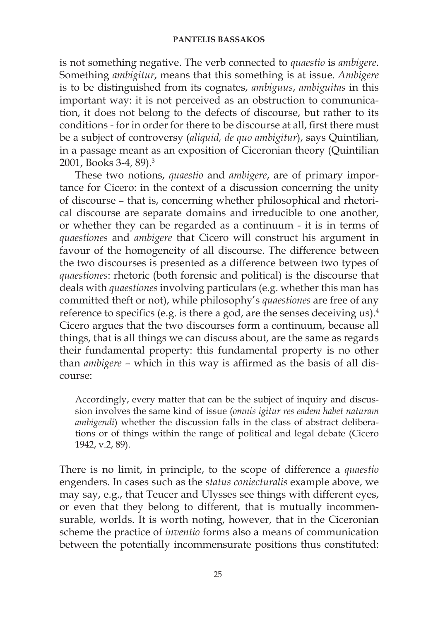is not something negative. The verb connected to *quaestio* is *ambigere*. Something *ambigitur*, means that this something is at issue. *Ambigere* is to be distinguished from its cognates, *ambiguus*, *ambiguitas* in this important way: it is not perceived as an obstruction to communication, it does not belong to the defects of discourse, but rather to its conditions - for in order for there to be discourse at all, first there must be a subject of controversy (*aliquid, de quo ambigitur*), says Quintilian, in a passage meant as an exposition of Ciceronian theory (Quintilian 2001, Books 3-4, 89).3

These two notions, *quaestio* and *ambigere*, are of primary importance for Cicero: in the context of a discussion concerning the unity of discourse – that is, concerning whether philosophical and rhetorical discourse are separate domains and irreducible to one another, or whether they can be regarded as a continuum - it is in terms of *quaestiones* and *ambigere* that Cicero will construct his argument in favour of the homogeneity of all discourse. The difference between the two discourses is presented as a difference between two types of *quaestiones*: rhetoric (both forensic and political) is the discourse that deals with *quaestiones* involving particulars (e.g. whether this man has committed theft or not), while philosophy's *quaestiones* are free of any reference to specifics (e.g. is there a god, are the senses deceiving us).<sup>4</sup> Cicero argues that the two discourses form a continuum, because all things, that is all things we can discuss about, are the same as regards their fundamental property: this fundamental property is no other than *ambigere* – which in this way is affirmed as the basis of all discourse:

Accordingly, every matter that can be the subject of inquiry and discussion involves the same kind of issue (*omnis igitur res eadem habet naturam ambigendi*) whether the discussion falls in the class of abstract deliberations or of things within the range of political and legal debate (Cicero 1942, v.2, 89).

There is no limit, in principle, to the scope of difference a *quaestio*  engenders. In cases such as the *status coniecturalis* example above, we may say, e.g., that Teucer and Ulysses see things with different eyes, or even that they belong to different, that is mutually incommensurable, worlds. It is worth noting, however, that in the Ciceronian scheme the practice of *inventio* forms also a means of communication between the potentially incommensurate positions thus constituted: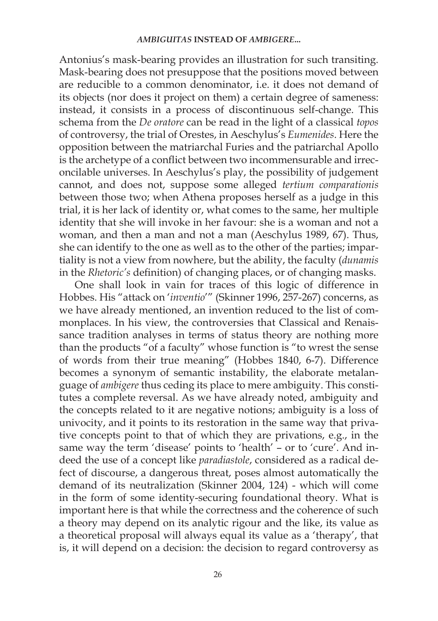Antonius's mask-bearing provides an illustration for such transiting. Mask-bearing does not presuppose that the positions moved between are reducible to a common denominator, i.e. it does not demand of its objects (nor does it project on them) a certain degree of sameness: instead, it consists in a process of discontinuous self-change. This schema from the *De oratore* can be read in the light of a classical *topos* of controversy, the trial of Orestes, in Aeschylus's *Eumenides*. Here the opposition between the matriarchal Furies and the patriarchal Apollo is the archetype of a conflict between two incommensurable and irreconcilable universes. In Aeschylus's play, the possibility of judgement cannot, and does not, suppose some alleged *tertium comparationis* between those two; when Athena proposes herself as a judge in this trial, it is her lack of identity or, what comes to the same, her multiple identity that she will invoke in her favour: she is a woman and not a woman, and then a man and not a man (Aeschylus 1989, 67). Thus, she can identify to the one as well as to the other of the parties; impartiality is not a view from nowhere, but the ability, the faculty (*dunamis* in the *Rhetoric's* definition) of changing places, or of changing masks.

One shall look in vain for traces of this logic of difference in Hobbes. His "attack on '*inventio*'" (Skinner 1996, 257-267) concerns, as we have already mentioned, an invention reduced to the list of commonplaces. In his view, the controversies that Classical and Renaissance tradition analyses in terms of status theory are nothing more than the products "of a faculty" whose function is "to wrest the sense of words from their true meaning" (Hobbes 1840, 6-7). Difference becomes a synonym of semantic instability, the elaborate metalanguage of *ambigere* thus ceding its place to mere ambiguity. This constitutes a complete reversal. As we have already noted, ambiguity and the concepts related to it are negative notions; ambiguity is a loss of univocity, and it points to its restoration in the same way that privative concepts point to that of which they are privations, e.g., in the same way the term 'disease' points to 'health' – or to 'cure'. And indeed the use of a concept like *paradiastole*, considered as a radical defect of discourse, a dangerous threat, poses almost automatically the demand of its neutralization (Skinner 2004, 124) - which will come in the form of some identity-securing foundational theory. What is important here is that while the correctness and the coherence of such a theory may depend on its analytic rigour and the like, its value as a theoretical proposal will always equal its value as a 'therapy', that is, it will depend on a decision: the decision to regard controversy as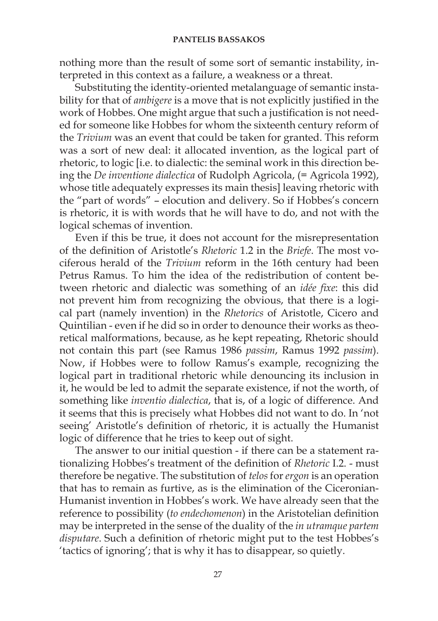nothing more than the result of some sort of semantic instability, interpreted in this context as a failure, a weakness or a threat.

Substituting the identity-oriented metalanguage of semantic instability for that of *ambigere* is a move that is not explicitly justified in the work of Hobbes. One might argue that such a justification is not needed for someone like Hobbes for whom the sixteenth century reform of the *Trivium* was an event that could be taken for granted. This reform was a sort of new deal: it allocated invention, as the logical part of rhetoric, to logic [i.e. to dialectic: the seminal work in this direction being the *De inventione dialectica* of Rudolph Agricola, (= Agricola 1992), whose title adequately expresses its main thesis] leaving rhetoric with the "part of words" – elocution and delivery. So if Hobbes's concern is rhetoric, it is with words that he will have to do, and not with the logical schemas of invention.

Even if this be true, it does not account for the misrepresentation of the definition of Aristotle's *Rhetoric* 1.2 in the *Briefe*. The most vociferous herald of the *Trivium* reform in the 16th century had been Petrus Ramus. To him the idea of the redistribution of content between rhetoric and dialectic was something of an *idée fixe*: this did not prevent him from recognizing the obvious, that there is a logical part (namely invention) in the *Rhetorics* of Aristotle, Cicero and Quintilian - even if he did so in order to denounce their works as theoretical malformations, because, as he kept repeating, Rhetoric should not contain this part (see Ramus 1986 *passim*, Ramus 1992 *passim*). Now, if Hobbes were to follow Ramus's example, recognizing the logical part in traditional rhetoric while denouncing its inclusion in it, he would be led to admit the separate existence, if not the worth, of something like *inventio dialectica*, that is, of a logic of difference. And it seems that this is precisely what Hobbes did not want to do. In 'not seeing' Aristotle's definition of rhetoric, it is actually the Humanist logic of difference that he tries to keep out of sight.

The answer to our initial question - if there can be a statement rationalizing Hobbes's treatment of the definition of *Rhetoric* I.2. - must therefore be negative. The substitution of *telos* for *ergon* is an operation that has to remain as furtive, as is the elimination of the Ciceronian-Humanist invention in Hobbes's work. We have already seen that the reference to possibility (*to endechomenon*) in the Aristotelian definition may be interpreted in the sense of the duality of the *in utramque partem disputare*. Such a definition of rhetoric might put to the test Hobbes's 'tactics of ignoring'; that is why it has to disappear, so quietly.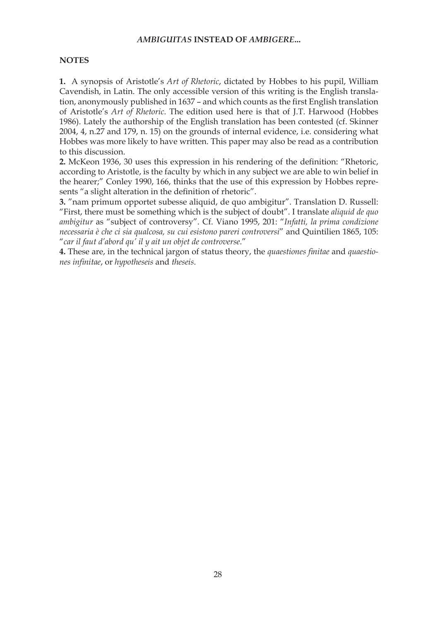#### **NOTES**

**1.** A synopsis of Aristotle's *Art of Rhetoric*, dictated by Hobbes to his pupil, William Cavendish, in Latin. The only accessible version of this writing is the English translation, anonymously published in 1637 – and which counts as the first English translation of Aristotle's *Art of Rhetoric*. The edition used here is that of J.T. Harwood (Hobbes 1986). Lately the authorship of the English translation has been contested (cf. Skinner 2004, 4, n.27 and 179, n. 15) on the grounds of internal evidence, i.e. considering what Hobbes was more likely to have written. This paper may also be read as a contribution to this discussion.

**2.** McKeon 1936, 30 uses this expression in his rendering of the definition: "Rhetoric, according to Aristotle, is the faculty by which in any subject we are able to win belief in the hearer;" Conley 1990, 166, thinks that the use of this expression by Hobbes represents "a slight alteration in the definition of rhetoric".

**3.** "nam primum opportet subesse aliquid, de quo ambigitur". Translation D. Russell: "First, there must be something which is the subject of doubt". I translate *aliquid de quo ambigitur* as "subject of controversy". Cf. Viano 1995, 201: "*Infatti, la prima condizione necessaria è che ci sia qualcosa, su cui esistono pareri controversi*" and Quintilien 1865, 105: "*car il faut d'abord qu' il y ait un objet de controverse*."

**4.** These are, in the technical jargon of status theory, the *quaestiones finitae* and *quaestiones infinitae*, or *hypotheseis* and *theseis*.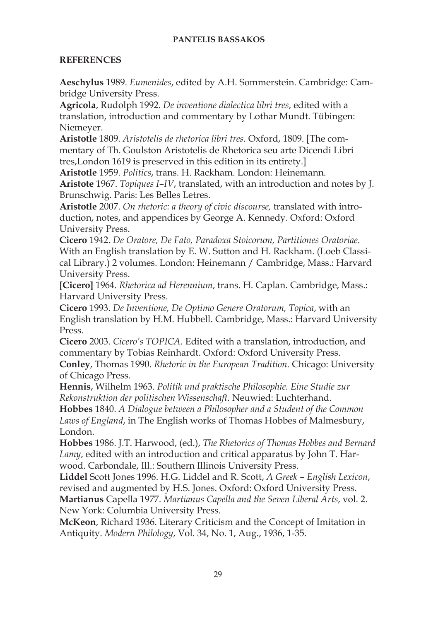## **REFERENCES**

**Aeschylus** 1989. *Eumenides*, edited by A.H. Sommerstein. Cambridge: Cambridge University Press.

**Agricola**, Rudolph 1992. *De inventione dialectica libri tres*, edited with a translation, introduction and commentary by Lothar Mundt. Tübingen: Niemeyer.

**Aristotle** 1809. *Aristotelis de rhetorica libri tres.* Oxford, 1809. [The commentary of Th. Goulston Aristotelis de Rhetorica seu arte Dicendi Libri tres,London 1619 is preserved in this edition in its entirety.]

**Aristotle** 1959. *Politics*, trans. H. Rackham. London: Heinemann. **Aristote** 1967. *Topiques I–IV*, translated, with an introduction and notes by J. Brunschwig. Paris: Les Belles Letres.

**Aristotle** 2007. *On rhetoric: a theory of civic discourse,* translated with introduction, notes, and appendices by George A. Kennedy. Oxford: Oxford University Press.

**Cicero** 1942. *De Oratore, De Fato, Paradoxa Stoicorum, Partitiones Oratoriae.*  With an English translation by E. W. Sutton and H. Rackham. (Loeb Classical Library.) 2 volumes. London: Heinemann / Cambridge, Mass.: Harvard University Press.

**[Cicero]** 1964. *Rhetorica ad Herennium*, trans. H. Caplan. Cambridge, Mass.: Harvard University Press.

**Cicero** 1993. *De Inventione, De Optimo Genere Oratorum, Topica*, with an English translation by H.M. Hubbell. Cambridge, Mass.: Harvard University Press.

**Cicero** 2003. *Cicero's TOPICA.* Edited with a translation, introduction, and commentary by Tobias Reinhardt. Oxford: Oxford University Press.

**Conley**, Thomas 1990. *Rhetoric in the European Tradition.* Chicago: University of Chicago Press.

**Hennis**, Wilhelm 1963. *Politik und praktische Philosophie. Eine Studie zur Rekonstruktion der politischen Wissenschaft.* Neuwied: Luchterhand.

**Hobbes** 1840. *A Dialogue between a Philosopher and a Student of the Common Laws of England*, in The English works of Thomas Hobbes of Malmesbury, London.

**Hobbes** 1986. J.T. Harwood, (ed.), *The Rhetorics of Thomas Hobbes and Bernard Lamy*, edited with an introduction and critical apparatus by John T. Harwood. Carbondale, Ill.: Southern Illinois University Press.

**Liddel** Scott Jones 1996. H.G. Liddel and R. Scott, *A Greek – English Lexicon*, revised and augmented by H.S. Jones. Oxford: Oxford University Press. **Martianus** Capella 1977. *Martianus Capella and the Seven Liberal Arts*, vol. 2.

New York: Columbia University Press.

**McKeon**, Richard 1936. Literary Criticism and the Concept of Imitation in Antiquity. *Modern Philology*, Vol. 34, No. 1, Aug., 1936, 1-35.